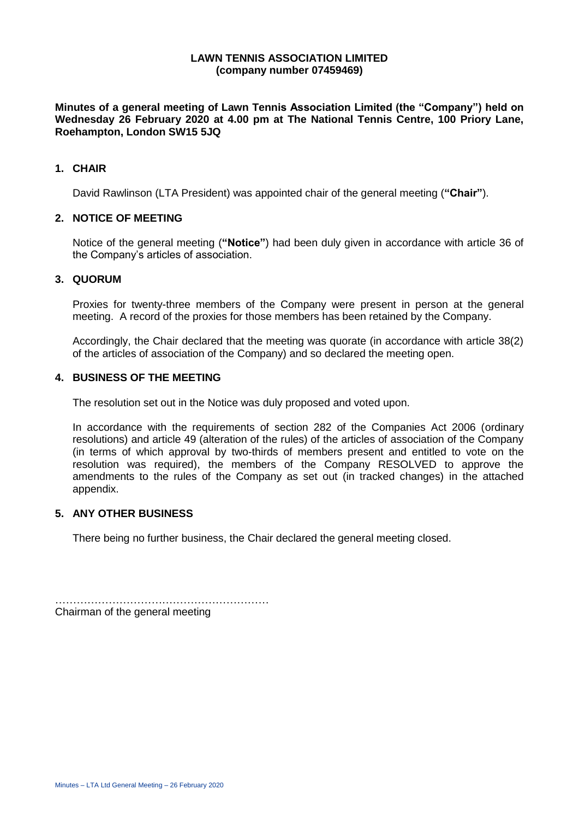#### **LAWN TENNIS ASSOCIATION LIMITED (company number 07459469)**

**Minutes of a general meeting of Lawn Tennis Association Limited (the "Company") held on Wednesday 26 February 2020 at 4.00 pm at The National Tennis Centre, 100 Priory Lane, Roehampton, London SW15 5JQ**

### **1. CHAIR**

David Rawlinson (LTA President) was appointed chair of the general meeting (**"Chair"**).

## **2. NOTICE OF MEETING**

Notice of the general meeting (**"Notice"**) had been duly given in accordance with article 36 of the Company's articles of association.

## **3. QUORUM**

Proxies for twenty-three members of the Company were present in person at the general meeting. A record of the proxies for those members has been retained by the Company.

Accordingly, the Chair declared that the meeting was quorate (in accordance with article 38(2) of the articles of association of the Company) and so declared the meeting open.

### **4. BUSINESS OF THE MEETING**

The resolution set out in the Notice was duly proposed and voted upon.

In accordance with the requirements of section 282 of the Companies Act 2006 (ordinary resolutions) and article 49 (alteration of the rules) of the articles of association of the Company (in terms of which approval by two-thirds of members present and entitled to vote on the resolution was required), the members of the Company RESOLVED to approve the amendments to the rules of the Company as set out (in tracked changes) in the attached appendix.

#### **5. ANY OTHER BUSINESS**

There being no further business, the Chair declared the general meeting closed.

…………………………………………………… Chairman of the general meeting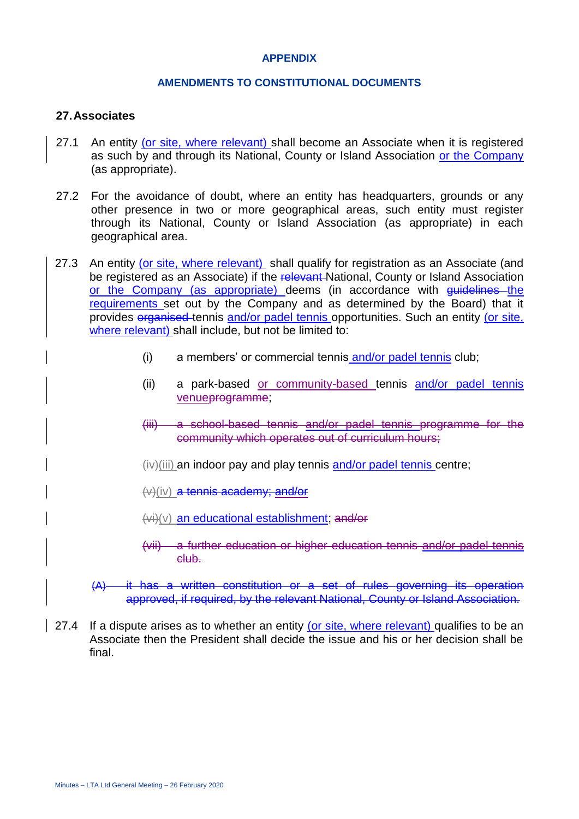## **APPENDIX**

## **AMENDMENTS TO CONSTITUTIONAL DOCUMENTS**

## **27.Associates**

- 27.1 An entity (or site, where relevant) shall become an Associate when it is registered as such by and through its National, County or Island Association or the Company (as appropriate).
- 27.2 For the avoidance of doubt, where an entity has headquarters, grounds or any other presence in two or more geographical areas, such entity must register through its National, County or Island Association (as appropriate) in each geographical area.
- 27.3 An entity (or site, where relevant) shall qualify for registration as an Associate (and be registered as an Associate) if the relevant National, County or Island Association or the Company (as appropriate) deems (in accordance with guidelines the requirements set out by the Company and as determined by the Board) that it provides organised tennis and/or padel tennis opportunities. Such an entity (or site, where relevant) shall include, but not be limited to:
	- (i) a members' or commercial tennis and/or padel tennis club;
	- (ii) a park-based or community-based tennis and/or padel tennis venueprogramme;
	- (iii) a school-based tennis and/or padel tennis programme for the community which operates out of curriculum hours;
	- $(i)\right)$ (iii) an indoor pay and play tennis and/or padel tennis centre;
	- (v)(iv) a tennis academy; and/or
	- (vi)(v) an educational establishment; and/or
	- (vii) a further education or higher education tennis and/or padel tennis club.
	- (A) it has a written constitution or a set of rules governing its operation approved, if required, by the relevant National, County or Island Association.
- 27.4 If a dispute arises as to whether an entity (or site, where relevant) qualifies to be an Associate then the President shall decide the issue and his or her decision shall be final.